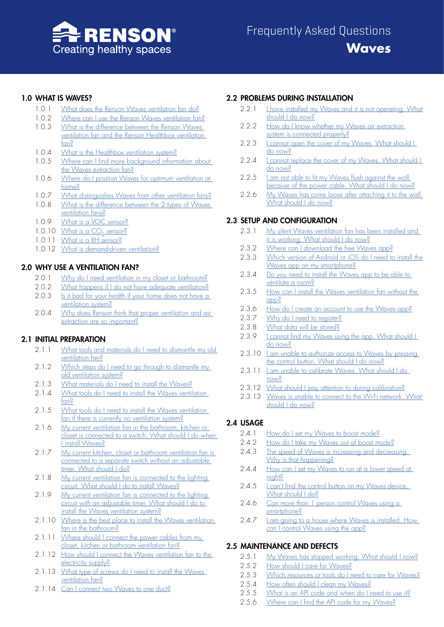

# 1.0 [WHAT IS WAVES?](#page-1-0)

- 1.0.1 [What does the Renson Waves ventilation fan do?](#page-1-1)
- 1.0.2 [Where can I use the Renson Waves ventilation fan?](#page-1-2)
- 1.0.3 [What is the difference between the Renson Waves](#page-1-3)  [ventilation fan and the Renson Healthbox ventilation](#page-1-3)  [fan?](#page-1-3)
- 1.0.4 [What is the Healthbox ventilation system?](#page-1-4)
- 1.0.5 Where can I find more background information about [the Waves extraction fan?](#page-1-5)
- 1.0.6 [Where do I position Waves for optimum ventilation at](#page-1-6)  [home?](#page-1-6)
- 1.0.7 [What distinguishes Waves from other ventilation fans?](#page-2-0)
- 1.0.8 [What is the difference between the 2 types of Waves](#page-2-1)  [ventilation fans?](#page-2-1)
- 1.0.9 [What is a VOC sensor?](#page-2-2)
- 1.0.10 What is a  $CO<sub>2</sub>$  sensor?
- 1.0.11 [What is a RH sensor?](#page-2-4)
- 1.0.12 [What is demand-driven ventilation?](#page-2-5)

# 2.0 [WHY USE A VENTILATION FAN?](#page-3-0)

- 2.0.1 [Why do I need ventilation in my closet or bathroom?](#page-3-1)
- 2.0.2 [What happens if I do not have adequate ventilation?](#page-3-2)
- 2.0.3 Is it bad for your health if your home does not have a [ventilation system?](#page-3-3)
- 2.0.4 Why does Renson think that proper ventilation and air [extraction are so important?](#page-3-4)

# 2.1 [INITIAL PREPARATION](#page-3-5)

- 2.1.1 What tools and materials do I need to dismantle my old [ventilation fan?](#page-3-6)
- 2.1.2 Which steps do I need to go through to dismantle my [old ventilation system?](#page-3-7)
- 2.1.3 [What materials do I need to install the Waves?](#page-4-0)
- 2.1.4 [What tools do I need to install the Waves ventilation](#page-4-1)  [fan?](#page-4-1)
- 2.1.5 What tools do I need to install the Waves ventilation [fan if there is currently no ventilation system?](#page-4-2)
- 2.1.6 My current ventilation fan in the bathroom, kitchen or [closet is connected to a switch. What should I do when](#page-4-3)  [I install Waves?](#page-4-3)
- 2.1.7 My current kitchen, closet or bathroom ventilation fan is [connected to a separate switch without an adjustable](#page-4-4)  [timer. What should I do?](#page-4-4)
- 2.1.8 My current ventilation fan is connected to the lighting [circuit. What should I do to install Waves?](#page-4-5)
- 2.1.9 My current ventilation fan is connected to the lighting [circuit with an adjustable timer. What should I do to](#page-5-0)  [install the Waves ventilation system?](#page-5-0)
- 2.1.10 Where is the best place to install the Waves ventilation [fan in the bathroom?](#page-5-1)
- 2.1.11 Where should I connect the power cables from my [closet, kitchen or bathroom ventilation fan?](#page-5-2)
- 2.1.12 [How should I connect the Waves ventilation fan to the](#page-5-3)  [electricity supply?](#page-5-3)
- 2.1.13 [What type of screws do I need to install the Waves](#page-5-4)  [ventilation fan?](#page-5-4)
- 2.1.14 [Can I connect two Waves to one duct?](#page-5-5)

# 2.2 [PROBLEMS DURING INSTALLATION](#page-6-0)

- 2.2.1 I have installed my Waves and it is not operating. What [should I do now?](#page-6-1)
- 2.2.2 How do I know whether my Waves air extraction [system is connected properly?](#page-6-2)
- 2.2.3 Leannot open the cover of my Waves. What should L [do now?](#page-6-3)
- 2.2.4 I cannot replace the cover of my Waves. What should I [do now?](#page-6-4)
- 2.2.5 I am not able to fit my Waves flush against the wall [because of the power cable. What should I do now?](#page-6-5)
- 2.2.6 My Waves has come loose after attaching it to the wall. [What should I do now?](#page-6-6)

# 2.3 [SETUP AND CONFIGURATION](#page-7-0)

- 2.3.1 [My silent Waves ventilation fan has been installed and](#page-7-1)  [it is working. What should I do now?](#page-7-1)
- 2.3.2 [Where can I download the free Waves app?](#page-7-2)
- 2.3.3 Which version of Android or iOS do I need to install the [Waves app on my smartphone?](#page-7-3)
- 2.3.4 Do you need to install the Waves app to be able to [ventilate a room?](#page-7-4)
- 2.3.5 How can I install the Waves ventilation fan without the [app?](#page-7-5)
- 2.3.6 [How do I create an account to use the Waves app?](#page-7-6)
- 2.3.7 [Why do I need to register?](#page-7-7)
- 2.3.8 [What data will be stored?](#page-7-8)
- 2.3.9 I cannot find my Waves using the app. What should I [do now?](#page-8-0)
- 2.3.10 [I am unable to authorize access to Waves by pressing](#page-8-1)  [the control button. What should I do now?](#page-8-1)
- 2.3.11 [I am unable to calibrate Waves. What should I do](#page-8-2)  [now?](#page-8-2)
- 2.3.12 [What should I pay attention to during calibration?](#page-8-3)
- 2.3.13 [Waves is unable to connect to the Wi-Fi network. What](#page-8-4)  [should I do now?](#page-8-4)

# 2.4 [USAGE](#page-9-0)

- 2.4.1 [How do I set my Waves to boost mode?](#page-9-1)
- 2.4.2 [How do I take my Waves out of boost mode?](#page-9-2)
- 2.4.3 [The speed of Waves is increasing and decreasing.](#page-9-3)  [Why is that happening?](#page-9-3)
- 2.4.4 How can I set my Waves to run at a lower speed at [night?](#page-9-4)
- 2.4.5 Lean't find the control button on my Waves device. [What should I do?](#page-9-5)
- 2.4.6 Can more than 1 person control Waves using a [smartphone?](#page-9-6)
- 2.4.7 I am going to a house where Waves is installed. How [can I control Waves using the app?](#page-9-7)

# 2.5 [MAINTENANCE AND DEFECTS](#page-10-0)

- 2.5.1 [My Waves has stopped working. What should I now?](#page-10-1)
- 2.5.2 [How should I care for Waves?](#page-10-2)
- 2.5.3 [Which resources or tools do I need to care for Waves?](#page-10-3)
- 2.5.4 [How often should I clean my Waves?](#page-10-4)
- 2.5.5 [What is an API code and when do I need to use it?](#page-10-5)
- 2.5.6 [Where can I find the API code for my Waves?](#page-10-6)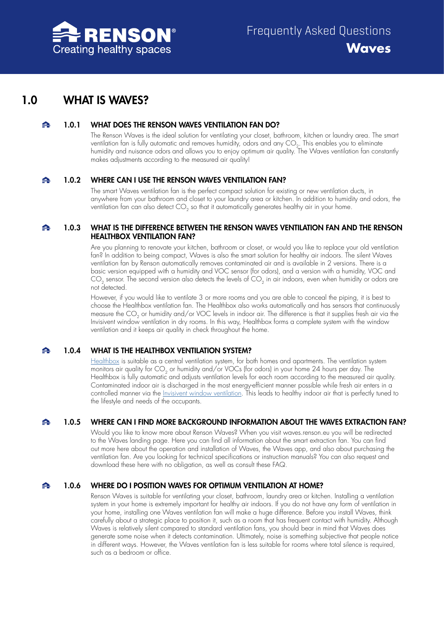

# <span id="page-1-0"></span>1.0 WHAT IS WAVES?

#### 1.0.1 WHAT DOES THE RENSON WAVES VENTILATION FAN DO?  $\blacktriangle$

<span id="page-1-1"></span>The Renson Waves is the ideal solution for ventilating your closet, bathroom, kitchen or laundry area. The smart ventilation fan is fully automatic and removes humidity, odors and any  $CO<sub>2</sub>$ . This enables you to eliminate humidity and nuisance odors and allows you to enjoy optimum air quality. The Waves ventilation fan constantly makes adjustments according to the measured air quality!

#### $\blacktriangle$ 1.0.2 WHERE CAN I USE THE RENSON WAVES VENTILATION FAN?

<span id="page-1-2"></span>The smart Waves ventilation fan is the perfect compact solution for existing or new ventilation ducts, in anywhere from your bathroom and closet to your laundry area or kitchen. In addition to humidity and odors, the ventilation fan can also detect CO<sub>2</sub> so that it automatically generates healthy air in your home.

## $\blacktriangle$ 1.0.3 WHAT IS THE DIFFERENCE BETWEEN THE RENSON WAVES VENTILATION FAN AND THE RENSON HEALTHBOX VENTILATION FAN?

<span id="page-1-3"></span>Are you planning to renovate your kitchen, bathroom or closet, or would you like to replace your old ventilation fan? In addition to being compact, Waves is also the smart solution for healthy air indoors. The silent Waves ventilation fan by Renson automatically removes contaminated air and is available in 2 versions. There is a basic version equipped with a humidity and VOC sensor (for odors), and a version with a humidity, VOC and  $CO<sub>2</sub>$  sensor. The second version also detects the levels of  $CO<sub>2</sub>$  in air indoors, even when humidity or odors are not detected.

However, if you would like to ventilate 3 or more rooms and you are able to conceal the piping, it is best to choose the Healthbox ventilation fan. The Healthbox also works automatically and has sensors that continuously measure the CO<sub>2</sub> or humidity and/or VOC levels in indoor air. The difference is that it supplies fresh air via the Invisivent window ventilation in dry rooms. In this way, Healthbox forms a complete system with the window ventilation and it keeps air quality in check throughout the home.

#### 1.0.4 WHAT IS THE HEALTHBOX VENTILATION SYSTEM? ≏

<span id="page-1-4"></span>[Healthbox](www.renson.eu/gd-gb/producten-zoeken/ventilatie/mechanische-ventilatie/units/healthbox-3-0) is suitable as a central ventilation system, for both homes and apartments. The ventilation system monitors air quality for CO<sub>2</sub> or humidity and/or VOCs (for odors) in your home 24 hours per day. The Healthbox is fully automatic and adjusts ventilation levels for each room according to the measured air quality. Contaminated indoor air is discharged in the most energy-efficient manner possible while fresh air enters in a controlled manner via the [Invisivent window ventilation.](www.renson.eu/gd-gb/search?searchtext=invisivent&searchmode=anyword) This leads to healthy indoor air that is perfectly tuned to the lifestyle and needs of the occupants.

#### $\blacktriangle$ 1.0.5 WHERE CAN I FIND MORE BACKGROUND INFORMATION ABOUT THE WAVES EXTRACTION FAN?

<span id="page-1-5"></span>Would you like to know more about Renson Waves? When you visit waves.renson.eu you will be redirected to the Waves landing page. Here you can find all information about the smart extraction fan. You can find out more here about the operation and installation of Waves, the Waves app, and also about purchasing the ventilation fan. Are you looking for technical specifications or instruction manuals? You can also request and download these here with no obligation, as well as consult these FAQ.

#### 1.0.6 WHERE DO I POSITION WAVES FOR OPTIMUM VENTILATION AT HOME?  $\blacktriangle$

<span id="page-1-6"></span>Renson Waves is suitable for ventilating your closet, bathroom, laundry area or kitchen. Installing a ventilation system in your home is extremely important for healthy air indoors. If you do not have any form of ventilation in your home, installing one Waves ventilation fan will make a huge difference. Before you install Waves, think carefully about a strategic place to position it, such as a room that has frequent contact with humidity. Although Waves is relatively silent compared to standard ventilation fans, you should bear in mind that Waves does generate some noise when it detects contamination. Ultimately, noise is something subjective that people notice in different ways. However, the Waves ventilation fan is less suitable for rooms where total silence is required, such as a bedroom or office.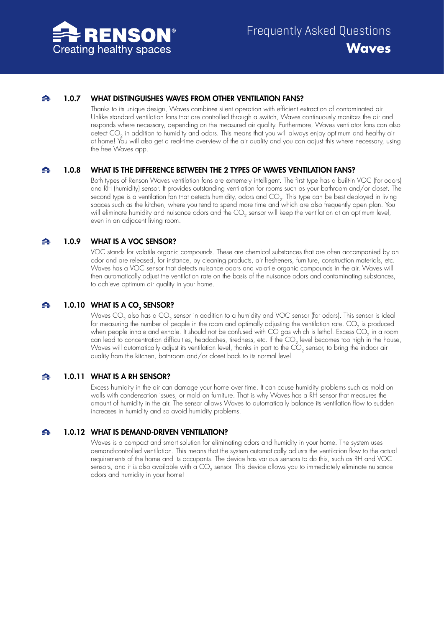

#### 1.0.7 WHAT DISTINGUISHES WAVES FROM OTHER VENTILATION FANS?  $\blacktriangle$

<span id="page-2-0"></span>Thanks to its unique design, Waves combines silent operation with efficient extraction of contaminated air. Unlike standard ventilation fans that are controlled through a switch, Waves continuously monitors the air and responds where necessary, depending on the measured air quality. Furthermore, Waves ventilator fans can also detect CO<sub>2</sub> in addition to humidity and odors. This means that you will always enjoy optimum and healthy air at home! You will also get a real-time overview of the air quality and you can adjust this where necessary, using the free Waves app.

#### 1.0.8 WHAT IS THE DIFFERENCE BETWEEN THE 2 TYPES OF WAVES VENTILATION FANS? △

<span id="page-2-1"></span>Both types of Renson Waves ventilation fans are extremely intelligent. The first type has a built-in VOC (for odors) and RH (humidity) sensor. It provides outstanding ventilation for rooms such as your bathroom and/or closet. The second type is a ventilation fan that detects humidity, odors and CO<sub>2</sub>. This type can be best deployed in living spaces such as the kitchen, where you tend to spend more time and which are also frequently open plan. You will eliminate humidity and nuisance odors and the CO<sub>2</sub> sensor will keep the ventilation at an optimum level, even in an adjacent living room.

#### $\blacktriangle$ 1.0.9 WHAT IS A VOC SENSOR?

<span id="page-2-2"></span>VOC stands for volatile organic compounds. These are chemical substances that are often accompanied by an odor and are released, for instance, by cleaning products, air fresheners, furniture, construction materials, etc. Waves has a VOC sensor that detects nuisance odors and volatile organic compounds in the air. Waves will then automatically adjust the ventilation rate on the basis of the nuisance odors and contaminating substances, to achieve optimum air quality in your home.

#### ♠ 1.0.10 WHAT IS A CO<sub>2</sub> SENSOR?

<span id="page-2-3"></span>Waves  $CO_2$  also has a  $CO_2$  sensor in addition to a humidity and VOC sensor (for odors). This sensor is ideal for measuring the number of people in the room and optimally adjusting the ventilation rate. CO<sub>2</sub> is produced when people inhale and exhale. It should not be confused with CO gas which is lethal. Excess  $CO<sub>2</sub>$  in a room can lead to concentration difficulties, headaches, tiredness, etc. If the  $CO<sub>2</sub>$  level becomes too high in the house, Waves will automatically adjust its ventilation level, thanks in part to the  $CO<sub>2</sub>$  sensor, to bring the indoor air quality from the kitchen, bathroom and/or closet back to its normal level.

#### $\blacktriangle$ 1.0.11 WHAT IS A RH SENSOR?

<span id="page-2-4"></span>Excess humidity in the air can damage your home over time. It can cause humidity problems such as mold on walls with condensation issues, or mold on furniture. That is why Waves has a RH sensor that measures the amount of humidity in the air. The sensor allows Waves to automatically balance its ventilation flow to sudden increases in humidity and so avoid humidity problems.

1.0.12 WHAT IS DEMAND-DRIVEN VENTILATION? ♠

> <span id="page-2-5"></span>Waves is a compact and smart solution for eliminating odors and humidity in your home. The system uses demand-controlled ventilation. This means that the system automatically adjusts the ventilation flow to the actual requirements of the home and its occupants. The device has various sensors to do this, such as RH and VOC sensors, and it is also available with a CO<sub>2</sub> sensor. This device allows you to immediately eliminate nuisance odors and humidity in your home!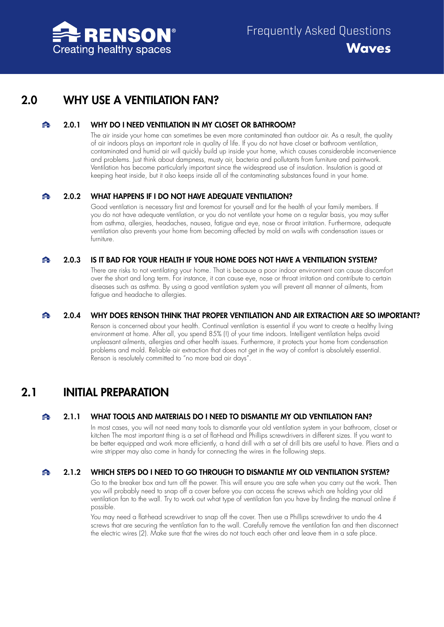

# <span id="page-3-0"></span>2.0 WHY USE A VENTILATION FAN?

#### 2.0.1 WHY DO I NEED VENTILATION IN MY CLOSET OR BATHROOM?  $\blacktriangle$

<span id="page-3-1"></span>The air inside your home can sometimes be even more contaminated than outdoor air. As a result, the quality of air indoors plays an important role in quality of life. If you do not have closet or bathroom ventilation, contaminated and humid air will quickly build up inside your home, which causes considerable inconvenience and problems. Just think about dampness, musty air, bacteria and pollutants from furniture and paintwork. Ventilation has become particularly important since the widespread use of insulation. Insulation is good at keeping heat inside, but it also keeps inside all of the contaminating substances found in your home.

## $\blacktriangle$

# 2.0.2 WHAT HAPPENS IF I DO NOT HAVE ADEQUATE VENTILATION?

<span id="page-3-2"></span>Good ventilation is necessary first and foremost for yourself and for the health of your family members. If you do not have adequate ventilation, or you do not ventilate your home on a regular basis, you may suffer from asthma, allergies, headaches, nausea, fatigue and eye, nose or throat irritation. Furthermore, adequate ventilation also prevents your home from becoming affected by mold on walls with condensation issues or furniture.

#### 2.0.3 IS IT BAD FOR YOUR HEALTH IF YOUR HOME DOES NOT HAVE A VENTILATION SYSTEM?  $\blacktriangle$

<span id="page-3-3"></span>There are risks to not ventilating your home. That is because a poor indoor environment can cause discomfort over the short and long term. For instance, it can cause eye, nose or throat irritation and contribute to certain diseases such as asthma. By using a good ventilation system you will prevent all manner of ailments, from fatigue and headache to allergies.

#### 2.0.4 WHY DOES RENSON THINK THAT PROPER VENTILATION AND AIR EXTRACTION ARE SO IMPORTANT?  $\blacktriangle$

<span id="page-3-4"></span>Renson is concerned about your health. Continual ventilation is essential if you want to create a healthy living environment at home. After all, you spend 85% (!) of your time indoors. Intelligent ventilation helps avoid unpleasant ailments, allergies and other health issues. Furthermore, it protects your home from condensation problems and mold. Reliable air extraction that does not get in the way of comfort is absolutely essential. Renson is resolutely committed to "no more bad air days".

# <span id="page-3-5"></span>2.1 INITIAL PREPARATION

#### $\triangle$ 2.1.1 WHAT TOOLS AND MATERIALS DO I NEED TO DISMANTLE MY OLD VENTILATION FAN?

<span id="page-3-6"></span>In most cases, you will not need many tools to dismantle your old ventilation system in your bathroom, closet or kitchen The most important thing is a set of flat-head and Phillips screwdrivers in different sizes. If you want to be better equipped and work more efficiently, a hand drill with a set of drill bits are useful to have. Pliers and a wire stripper may also come in handy for connecting the wires in the following steps.

#### $\blacktriangle$ 2.1.2 WHICH STEPS DO I NEED TO GO THROUGH TO DISMANTLE MY OLD VENTILATION SYSTEM?

<span id="page-3-7"></span>Go to the breaker box and turn off the power. This will ensure you are safe when you carry out the work. Then you will probably need to snap off a cover before you can access the screws which are holding your old ventilation fan to the wall. Try to work out what type of ventilation fan you have by finding the manual online if possible.

You may need a flat-head screwdriver to snap off the cover. Then use a Phillips screwdriver to undo the 4 screws that are securing the ventilation fan to the wall. Carefully remove the ventilation fan and then disconnect the electric wires (2). Make sure that the wires do not touch each other and leave them in a safe place.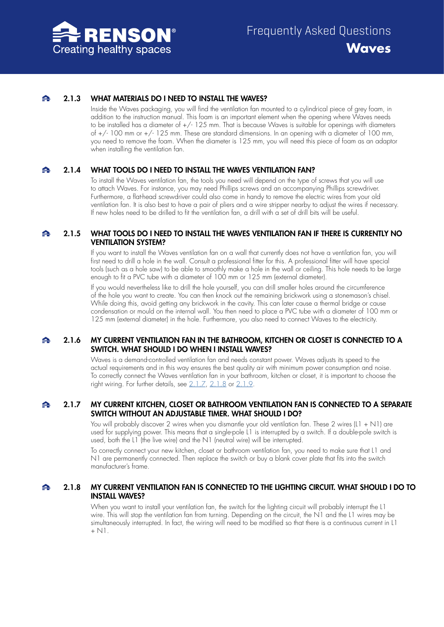

#### 2.1.3 WHAT MATERIALS DO I NEED TO INSTALL THE WAVES?  $\blacktriangle$

<span id="page-4-0"></span>Inside the Waves packaging, you will find the ventilation fan mounted to a cylindrical piece of grey foam, in addition to the instruction manual. This foam is an important element when the opening where Waves needs to be installed has a diameter of  $+/-125$  mm. That is because Waves is suitable for openings with diameters of +/- 100 mm or +/- 125 mm. These are standard dimensions. In an opening with a diameter of 100 mm, you need to remove the foam. When the diameter is 125 mm, you will need this piece of foam as an adaptor when installing the ventilation fan.

#### $\blacktriangle$ 2.1.4 WHAT TOOLS DO I NEED TO INSTALL THE WAVES VENTILATION FAN?

<span id="page-4-1"></span>To install the Waves ventilation fan, the tools you need will depend on the type of screws that you will use to attach Waves. For instance, you may need Phillips screws and an accompanying Phillips screwdriver. Furthermore, a flat-head screwdriver could also come in handy to remove the electric wires from your old ventilation fan. It is also best to have a pair of pliers and a wire stripper nearby to adjust the wires if necessary. If new holes need to be drilled to fit the ventilation fan, a drill with a set of drill bits will be useful.

## $\blacktriangle$ 2.1.5 WHAT TOOLS DO I NEED TO INSTALL THE WAVES VENTILATION FAN IF THERE IS CURRENTLY NO VENTILATION SYSTEM?

<span id="page-4-2"></span>If you want to install the Waves ventilation fan on a wall that currently does not have a ventilation fan, you will first need to drill a hole in the wall. Consult a professional fitter for this. A professional fitter will have special tools (such as a hole saw) to be able to smoothly make a hole in the wall or ceiling. This hole needs to be large enough to fit a PVC tube with a diameter of 100 mm or 125 mm (external diameter).

If you would nevertheless like to drill the hole yourself, you can drill smaller holes around the circumference of the hole you want to create. You can then knock out the remaining brickwork using a stonemason's chisel. While doing this, avoid getting any brickwork in the cavity. This can later cause a thermal bridge or cause condensation or mould on the internal wall. You then need to place a PVC tube with a diameter of 100 mm or 125 mm (external diameter) in the hole. Furthermore, you also need to connect Waves to the electricity.

## $\blacktriangle$ 2.1.6 MY CURRENT VENTILATION FAN IN THE BATHROOM, KITCHEN OR CLOSET IS CONNECTED TO A SWITCH. WHAT SHOULD LDO WHEN I INSTALL WAVES?

<span id="page-4-3"></span>Waves is a demand-controlled ventilation fan and needs constant power. Waves adjusts its speed to the actual requirements and in this way ensures the best quality air with minimum power consumption and noise. To correctly connect the Waves ventilation fan in your bathroom, kitchen or closet, it is important to choose the right wiring. For further details, see [2.1.7,](#page-4-4) [2.1.8](#page-4-5) or [2.1.9](#page-5-0).

## $\blacktriangle$ 2.1.7 MY CURRENT KITCHEN, CLOSET OR BATHROOM VENTILATION FAN IS CONNECTED TO A SEPARATE SWITCH WITHOUT AN ADJUSTABLE TIMER. WHAT SHOULD I DO?

<span id="page-4-4"></span>You will probably discover 2 wires when you dismantle your old ventilation fan. These 2 wires (L1 + N1) are used for supplying power. This means that a single-pole L1 is interrupted by a switch. If a double-pole switch is used, both the L1 (the live wire) and the N1 (neutral wire) will be interrupted.

To correctly connect your new kitchen, closet or bathroom ventilation fan, you need to make sure that L1 and N1 are permanently connected. Then replace the switch or buy a blank cover plate that fits into the switch manufacturer's frame.

## $\triangle$ 2.1.8 MY CURRENT VENTILATION FAN IS CONNECTED TO THE LIGHTING CIRCUIT. WHAT SHOULD I DO TO INSTALL WAVES?

<span id="page-4-5"></span>When you want to install your ventilation fan, the switch for the lighting circuit will probably interrupt the L1 wire. This will stop the ventilation fan from turning. Depending on the circuit, the N1 and the L1 wires may be simultaneously interrupted. In fact, the wiring will need to be modified so that there is a continuous current in L1  $+$  N $\overline{1}$ .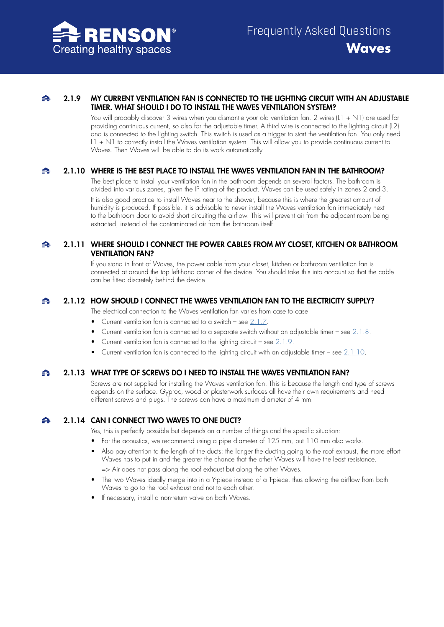

## 2.1.9 MY CURRENT VENTILATION FAN IS CONNECTED TO THE LIGHTING CIRCUIT WITH AN ADJUSTABLE  $\blacktriangle$ TIMER. WHAT SHOULD I DO TO INSTALL THE WAVES VENTILATION SYSTEM?

<span id="page-5-0"></span>You will probably discover 3 wires when you dismantle your old ventilation fan. 2 wires (L1 + N1) are used for providing continuous current, so also for the adjustable timer. A third wire is connected to the lighting circuit (L2) and is connected to the lighting switch. This switch is used as a trigger to start the ventilation fan. You only need L1 + N1 to correctly install the Waves ventilation system. This will allow you to provide continuous current to Waves. Then Waves will be able to do its work automatically.

#### $\blacktriangle$ 2.1.10 WHERE IS THE BEST PLACE TO INSTALL THE WAVES VENTILATION FAN IN THE BATHROOM?

<span id="page-5-1"></span>The best place to install your ventilation fan in the bathroom depends on several factors. The bathroom is divided into various zones, given the IP rating of the product. Waves can be used safely in zones 2 and 3. It is also good practice to install Waves near to the shower, because this is where the greatest amount of humidity is produced. If possible, it is advisable to never install the Waves ventilation fan immediately next to the bathroom door to avoid short circuiting the airflow. This will prevent air from the adjacent room being extracted, instead of the contaminated air from the bathroom itself.

## $\blacktriangle$ 2.1.11 WHERE SHOULD I CONNECT THE POWER CABLES FROM MY CLOSET, KITCHEN OR BATHROOM VENTILATION FAN?

<span id="page-5-2"></span>If you stand in front of Waves, the power cable from your closet, kitchen or bathroom ventilation fan is connected at around the top left-hand corner of the device. You should take this into account so that the cable can be fitted discretely behind the device.

#### ♠ 2.1.12 HOW SHOULD I CONNECT THE WAVES VENTILATION FAN TO THE ELECTRICITY SUPPLY?

<span id="page-5-3"></span>The electrical connection to the Waves ventilation fan varies from case to case:

• Current ventilation fan is connected to a switch – see [2.1.7.](#page-4-4)

- Current ventilation fan is connected to a separate switch without an adjustable timer see [2.1.8](#page-4-5).
- Current ventilation fan is connected to the lighting circuit see  $2.1.9$ .
- Current ventilation fan is connected to the lighting circuit with an adjustable timer see [2.1.10.](#page-5-1)

#### $\blacktriangle$ 2.1.13 WHAT TYPE OF SCREWS DO I NEED TO INSTALL THE WAVES VENTILATION FAN?

<span id="page-5-4"></span>Screws are not supplied for installing the Waves ventilation fan. This is because the length and type of screws depends on the surface. Gyproc, wood or plasterwork surfaces all have their own requirements and need different screws and plugs. The screws can have a maximum diameter of 4 mm.

#### $\blacktriangle$ 2.1.14 CAN I CONNECT TWO WAVES TO ONE DUCT?

<span id="page-5-5"></span>Yes, this is perfectly possible but depends on a number of things and the specific situation:

- For the acoustics, we recommend using a pipe diameter of 125 mm, but 110 mm also works.
- Also pay attention to the length of the ducts: the longer the ducting going to the roof exhaust, the more effort Waves has to put in and the greater the chance that the other Waves will have the least resistance. => Air does not pass along the roof exhaust but along the other Waves.
- The two Waves ideally merge into in a Y-piece instead of a T-piece, thus allowing the airflow from both Waves to go to the roof exhaust and not to each other.
- If necessary, install a non-return valve on both Waves.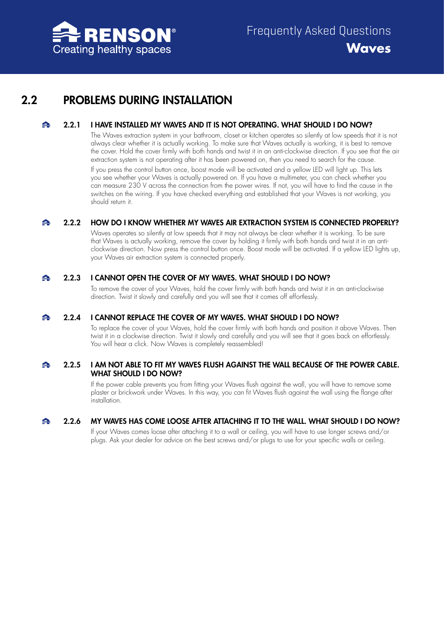

# <span id="page-6-0"></span>2.2 PROBLEMS DURING INSTALLATION

#### 2.2.1 I HAVE INSTALLED MY WAVES AND IT IS NOT OPERATING. WHAT SHOULD I DO NOW?  $\blacktriangle$

<span id="page-6-1"></span>The Waves extraction system in your bathroom, closet or kitchen operates so silently at low speeds that it is not always clear whether it is actually working. To make sure that Waves actually is working, it is best to remove the cover. Hold the cover firmly with both hands and twist it in an anti-clockwise direction. If you see that the air extraction system is not operating after it has been powered on, then you need to search for the cause. If you press the control button once, boost mode will be activated and a yellow LED will light up. This lets you see whether your Waves is actually powered on. If you have a multimeter, you can check whether you can measure 230 V across the connection from the power wires. If not, you will have to find the cause in the switches on the wiring. If you have checked everything and established that your Waves is not working, you should return it.

#### $\blacktriangle$ 2.2.2 HOW DO I KNOW WHETHER MY WAVES AIR EXTRACTION SYSTEM IS CONNECTED PROPERLY?

<span id="page-6-2"></span>Waves operates so silently at low speeds that it may not always be clear whether it is working. To be sure that Waves is actually working, remove the cover by holding it firmly with both hands and twist it in an anticlockwise direction. Now press the control button once. Boost mode will be activated. If a yellow LED lights up, your Waves air extraction system is connected properly.

#### $\blacktriangle$ 2.2.3 I CANNOT OPEN THE COVER OF MY WAVES. WHAT SHOULD I DO NOW?

<span id="page-6-3"></span>To remove the cover of your Waves, hold the cover firmly with both hands and twist it in an anti-clockwise direction. Twist it slowly and carefully and you will see that it comes off effortlessly.

#### 2.2.4 I CANNOT REPLACE THE COVER OF MY WAVES. WHAT SHOULD I DO NOW? A

<span id="page-6-4"></span>To replace the cover of your Waves, hold the cover firmly with both hands and position it above Waves. Then twist it in a clockwise direction. Twist it slowly and carefully and you will see that it goes back on effortlessly. You will hear a click. Now Waves is completely reassembled!

## 2.2.5 I AM NOT ABLE TO FIT MY WAVES FLUSH AGAINST THE WALL BECAUSE OF THE POWER CABLE. ♠ WHAT SHOULD I DO NOW?

<span id="page-6-5"></span>If the power cable prevents you from fitting your Waves flush against the wall, you will have to remove some plaster or brickwork under Waves. In this way, you can fit Waves flush against the wall using the flange after installation.

#### $\blacktriangle$ 2.2.6 MY WAVES HAS COME LOOSE AFTER ATTACHING IT TO THE WALL. WHAT SHOULD I DO NOW?

<span id="page-6-6"></span>If your Waves comes loose after attaching it to a wall or ceiling, you will have to use longer screws and/or plugs. Ask your dealer for advice on the best screws and/or plugs to use for your specific walls or ceiling.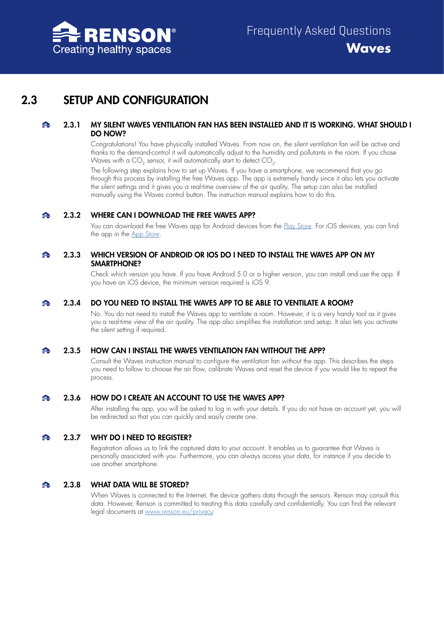

# <span id="page-7-0"></span>2.3 SETUP AND CONFIGURATION

## 2.3.1 MY SILENT WAVES VENTILATION FAN HAS BEEN INSTALLED AND IT IS WORKING. WHAT SHOULD I  $\blacktriangle$ DO NOW?

<span id="page-7-1"></span>Congratulations! You have physically installed Waves. From now on, the silent ventilation fan will be active and thanks to the demand-control it will automatically adjust to the humidity and pollutants in the room. If you chose Waves with a  $CO<sub>2</sub>$  sensor, it will automatically start to detect  $CO<sub>2</sub>$ .

The following step explains how to set up Waves. If you have a smartphone, we recommend that you go through this process by installing the free Waves app. The app is extremely handy since it also lets you activate the silent settings and it gives you a real-time overview of the air quality. The setup can also be installed manually using the Waves control button. The instruction manual explains how to do this.

#### $\blacktriangle$ 2.3.2 WHERE CAN I DOWNLOAD THE FREE WAVES APP?

<span id="page-7-2"></span>You can download the free Waves app for Android devices from the [Play Store.](play.google.com/store/apps/details?id=be.renson.sense&hl=en) For iOS devices, you can find the app in the [App Store.](apps.apple.com/be/app/renson-sense/id1481337031?l=en)

## 2.3.3 WHICH VERSION OF ANDROID OR IOS DO I NEED TO INSTALL THE WAVES APP ON MY A SMARTPHONE?

<span id="page-7-3"></span>Check which version you have. If you have Android 5.0 or a higher version, you can install and use the app. If you have an iOS device, the minimum version required is iOS 9.

#### $\blacktriangle$ 2.3.4 DO YOU NEED TO INSTALL THE WAVES APP TO BE ABLE TO VENTILATE A ROOM?

<span id="page-7-4"></span>No. You do not need to install the Waves app to ventilate a room. However, it is a very handy tool as it gives you a real-time view of the air quality. The app also simplifies the installation and setup. It also lets you activate the silent setting if required.

#### 2.3.5 HOW CAN I INSTALL THE WAVES VENTILATION FAN WITHOUT THE APP? ≏

<span id="page-7-5"></span>Consult the Waves instruction manual to configure the ventilation fan without the app. This describes the steps you need to follow to choose the air flow, calibrate Waves and reset the device if you would like to repeat the process.

#### $\blacktriangle$ 2.3.6 HOW DO I CREATE AN ACCOUNT TO USE THE WAVES APP?

<span id="page-7-6"></span>After installing the app, you will be asked to log in with your details. If you do not have an account yet, you will be redirected so that you can quickly and easily create one.

#### $\blacktriangle$ 2.3.7 WHY DO I NEED TO REGISTER?

<span id="page-7-7"></span>Registration allows us to link the captured data to your account. It enables us to guarantee that Waves is personally associated with you. Furthermore, you can always access your data, for instance if you decide to use another smartphone.

#### 2.3.8 WHAT DATA WILL BE STORED?  $\blacktriangle$

<span id="page-7-8"></span>When Waves is connected to the Internet, the device gathers data through the sensors. Renson may consult this data. However, Renson is committed to treating this data carefully and confidentially. You can find the relevant legal documents at [www.renson.eu/privacy](www.renson.eu/gd-gb/privacy-agreement).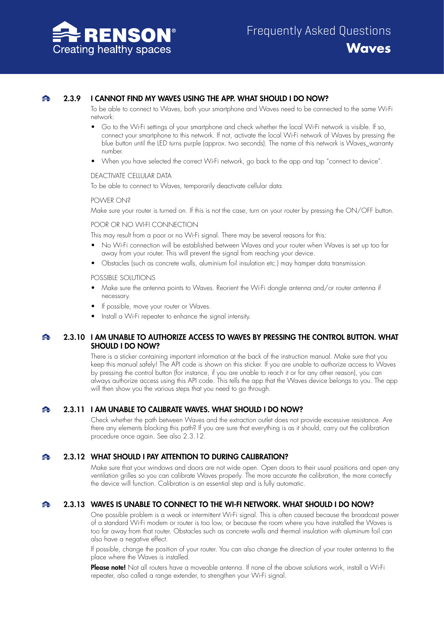

## 2.3.9 I CANNOT FIND MY WAVES USING THE APP. WHAT SHOULD I DO NOW?

<span id="page-8-0"></span>To be able to connect to Waves, both your smartphone and Waves need to be connected to the same Wi-Fi network:

- Go to the Wi-Fi settings of your smartphone and check whether the local Wi-Fi network is visible. If so, connect your smartphone to this network. If not, activate the local Wi-Fi network of Waves by pressing the blue button until the LED turns purple (approx. two seconds). The name of this network is Waves\_warranty number.
- When you have selected the correct Wi-Fi network, go back to the app and tap "connect to device".

## DEACTIVATE CELLULAR DATA

To be able to connect to Waves, temporarily deactivate cellular data.

## POWER ON?

Make sure your router is turned on. If this is not the case, turn on your router by pressing the ON/OFF button.

## POOR OR NO WI-FI CONNECTION

This may result from a poor or no Wi-Fi signal. There may be several reasons for this:

- No Wi-Fi connection will be established between Waves and your router when Waves is set up too far away from your router. This will prevent the signal from reaching your device.
- Obstacles (such as concrete walls, aluminium foil insulation etc.) may hamper data transmission.

## POSSIBLE SOLUTIONS

- Make sure the antenna points to Waves. Reorient the Wi-Fi dongle antenna and/or router antenna if necessary.
- If possible, move your router or Waves.
- <span id="page-8-1"></span>• Install a Wi-Fi repeater to enhance the signal intensity.

## 2.3.10 I AM UNABLE TO AUTHORIZE ACCESS TO WAVES BY PRESSING THE CONTROL BUTTON. WHAT  $\blacktriangle$ SHOULD I DO NOW?

There is a sticker containing important information at the back of the instruction manual. Make sure that you keep this manual safely! The API code is shown on this sticker. If you are unable to authorize access to Waves by pressing the control button (for instance, if you are unable to reach it or for any other reason), you can always authorize access using this API code. This tells the app that the Waves device belongs to you. The app will then show you the various steps that you need to go through.

#### ♠ 2.3.11 I AM UNABLE TO CALIBRATE WAVES. WHAT SHOULD I DO NOW?

<span id="page-8-2"></span>Check whether the path between Waves and the extraction outlet does not provide excessive resistance. Are there any elements blocking this path? If you are sure that everything is as it should, carry out the calibration procedure once again. See also 2.3.12.

#### $\blacktriangle$ 2.3.12 WHAT SHOULD I PAY ATTENTION TO DURING CALIBRATION?

<span id="page-8-3"></span>Make sure that your windows and doors are not wide open. Open doors to their usual positions and open any ventilation grilles so you can calibrate Waves properly. The more accurate the calibration, the more correctly the device will function. Calibration is an essential step and is fully automatic.

#### 2.3.13 WAVES IS UNABLE TO CONNECT TO THE WI-FI NETWORK. WHAT SHOULD I DO NOW? ▵

<span id="page-8-4"></span>One possible problem is a weak or intermittent Wi-Fi signal. This is often caused because the broadcast power of a standard Wi-Fi modem or router is too low, or because the room where you have installed the Waves is too far away from that router. Obstacles such as concrete walls and thermal insulation with aluminum foil can also have a negative effect.

If possible, change the position of your router. You can also change the direction of your router antenna to the place where the Waves is installed.

Please note! Not all routers have a moveable antenna. If none of the above solutions work, install a Wi-Fi repeater, also called a range extender, to strengthen your Wi-Fi signal.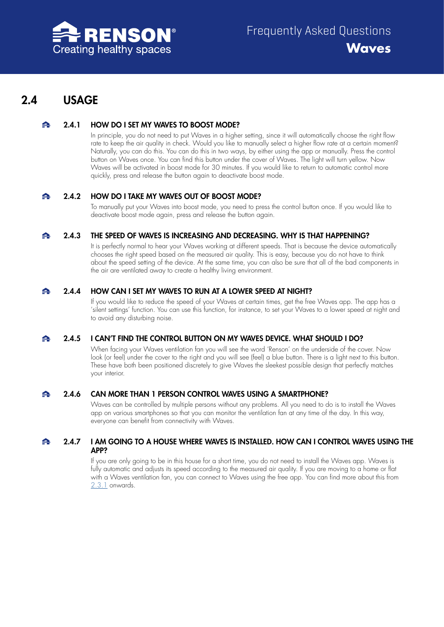

# <span id="page-9-0"></span>2.4 USAGE

#### 2.4.1 HOW DO I SET MY WAVES TO BOOST MODE?  $\blacktriangle$

<span id="page-9-1"></span>In principle, you do not need to put Waves in a higher setting, since it will automatically choose the right flow rate to keep the air quality in check. Would you like to manually select a higher flow rate at a certain moment? Naturally, you can do this. You can do this in two ways, by either using the app or manually. Press the control button on Waves once. You can find this button under the cover of Waves. The light will turn yellow. Now Waves will be activated in boost mode for 30 minutes. If you would like to return to automatic control more quickly, press and release the button again to deactivate boost mode.

#### $\blacktriangle$ 2.4.2 HOW DO I TAKE MY WAVES OUT OF BOOST MODE?

<span id="page-9-2"></span>To manually put your Waves into boost mode, you need to press the control button once. If you would like to deactivate boost mode again, press and release the button again.

#### 2.4.3 THE SPEED OF WAVES IS INCREASING AND DECREASING. WHY IS THAT HAPPENING?  $\blacktriangle$

<span id="page-9-3"></span>It is perfectly normal to hear your Waves working at different speeds. That is because the device automatically chooses the right speed based on the measured air quality. This is easy, because you do not have to think about the speed setting of the device. At the same time, you can also be sure that all of the bad components in the air are ventilated away to create a healthy living environment.

#### $\blacktriangle$ 2.4.4 HOW CAN I SET MY WAVES TO RUN AT A LOWER SPEED AT NIGHT?

<span id="page-9-4"></span>If you would like to reduce the speed of your Waves at certain times, get the free Waves app. The app has a 'silent settings' function. You can use this function, for instance, to set your Waves to a lower speed at night and to avoid any disturbing noise.

#### $\blacktriangle$ 2.4.5 I CAN'T FIND THE CONTROL BUTTON ON MY WAVES DEVICE. WHAT SHOULD I DO?

<span id="page-9-5"></span>When facing your Waves ventilation fan you will see the word 'Renson' on the underside of the cover. Now look (or feel) under the cover to the right and you will see (feel) a blue button. There is a light next to this button. These have both been positioned discretely to give Waves the sleekest possible design that perfectly matches your interior.

#### $\blacktriangle$ 2.4.6 CAN MORE THAN 1 PERSON CONTROL WAVES USING A SMARTPHONE?

<span id="page-9-6"></span>Waves can be controlled by multiple persons without any problems. All you need to do is to install the Waves app on various smartphones so that you can monitor the ventilation fan at any time of the day. In this way, everyone can benefit from connectivity with Waves.

## $\blacktriangle$ 2.4.7 I AM GOING TO A HOUSE WHERE WAVES IS INSTALLED. HOW CAN I CONTROL WAVES USING THE APP?

<span id="page-9-7"></span>If you are only going to be in this house for a short time, you do not need to install the Waves app. Waves is fully automatic and adjusts its speed according to the measured air quality. If you are moving to a home or flat with a Waves ventilation fan, you can connect to Waves using the free app. You can find more about this from [2.3.1](#page-7-1) onwards.